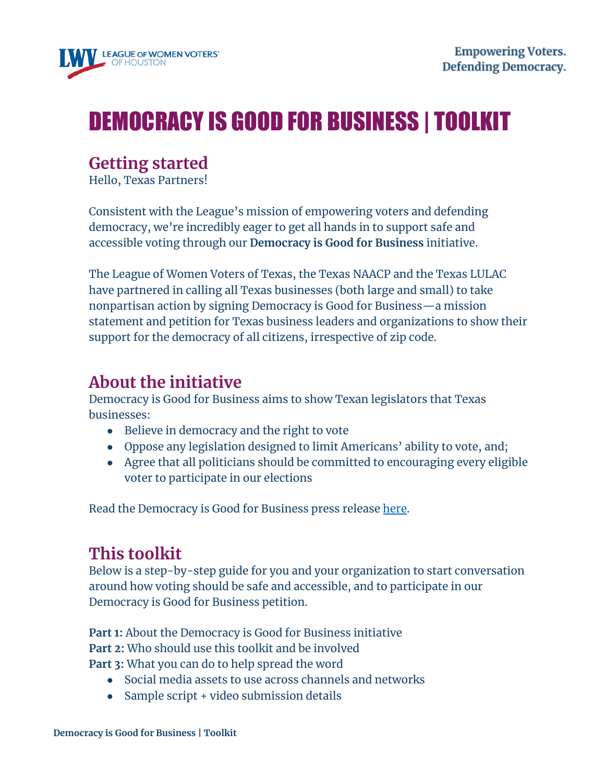

# DEMOCRACY IS GOOD FOR BUSINESS | TOOLKIT

### **Getting started**

Hello, Texas Partners!

Consistent with the League's mission of empowering voters and defending democracy, we're incredibly eager to get all hands in to support safe and accessible voting through our **Democracy is Good for Business** initiative.

The League of Women Voters of Texas, the Texas NAACP and the Texas LULAC have partnered in calling all Texas businesses (both large and small) to take nonpartisan action by signing Democracy is Good for Business—a mission statement and petition for Texas business leaders and organizations to show their support for the democracy of all citizens, irrespective of zip code.

### **About the initiative**

Democracy is Good for Business aims to show Texan legislators that Texas businesses:

- Believe in democracy and the right to vote
- Oppose any legislation designed to limit Americans' ability to vote, and;
- Agree that all politicians should be committed to encouraging every eligible voter to participate in our elections

Read the Democracy is Good for Business press release [here.](https://drive.google.com/file/d/1LRFHeJ0zT8k6Ppz2MhESif_0LI4Bgzo-/view)

# **This toolkit**

Below is a step-by-step guide for you and your organization to start conversation around how voting should be safe and accessible, and to participate in our Democracy is Good for Business petition.

**Part 1:** About the Democracy is Good for Business initiative **Part 2:** Who should use this toolkit and be involved **Part 3:** What you can do to help spread the word

- Social media assets to use across channels and networks
- Sample script + video submission details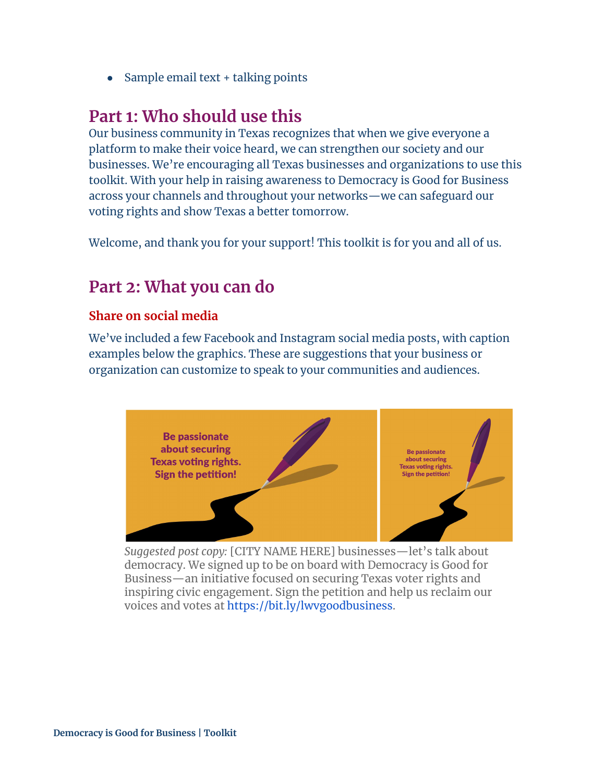• Sample email text + talking points

### **Part 1: Who should use this**

Our business community in Texas recognizes that when we give everyone a platform to make their voice heard, we can strengthen our society and our businesses. We're encouraging all Texas businesses and organizations to use this toolkit. With your help in raising awareness to Democracy is Good for Business across your channels and throughout your networks—we can safeguard our voting rights and show Texas a better tomorrow.

Welcome, and thank you for your support! This toolkit is for you and all of us.

### **Part 2: What you can do**

#### **Share on social media**

We've included a few Facebook and Instagram social media posts, with caption examples below the graphics. These are suggestions that your business or organization can customize to speak to your communities and audiences.



*Suggested post copy:* [CITY NAME HERE] businesses—let's talk about democracy. We signed up to be on board with Democracy is Good for Business—an initiative focused on securing Texas voter rights and inspiring civic engagement. Sign the petition and help us reclaim our voices and votes at [https://bit.ly/lwvgoodbusiness.](https://bit.ly/lwvgoodbusiness)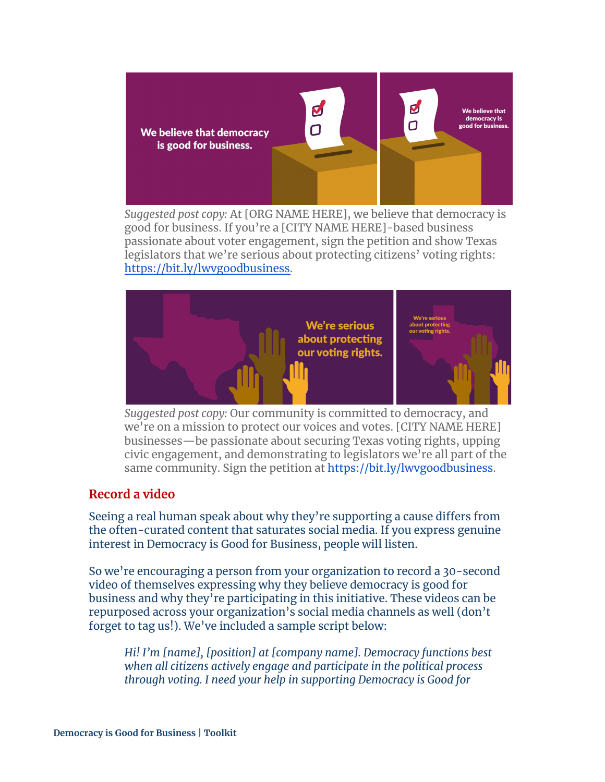

*Suggested post copy:* At [ORG NAME HERE], we believe that democracy is good for business. If you're a [CITY NAME HERE]-based business passionate about voter engagement, sign the petition and show Texas legislators that we're serious about protecting citizens' voting rights: [https://bit.ly/lwvgoodbusiness.](https://bit.ly/lwvgoodbusiness)



*Suggested post copy:* Our community is committed to democracy, and we're on a mission to protect our voices and votes. [CITY NAME HERE] businesses—be passionate about securing Texas voting rights, upping civic engagement, and demonstrating to legislators we're all part of the same community. Sign the petition at <https://bit.ly/lwvgoodbusiness>.

#### **Record a video**

Seeing a real human speak about why they're supporting a cause differs from the often-curated content that saturates social media. If you express genuine interest in Democracy is Good for Business, people will listen.

So we're encouraging a person from your organization to record a 30-second video of themselves expressing why they believe democracy is good for business and why they're participating in this initiative. These videos can be repurposed across your organization's social media channels as well (don't forget to tag us!). We've included a sample script below:

*Hi! I'm [name], [position] at [company name]. Democracy functions best when all citizens actively engage and participate in the political process through voting. I need your help in supporting Democracy is Good for*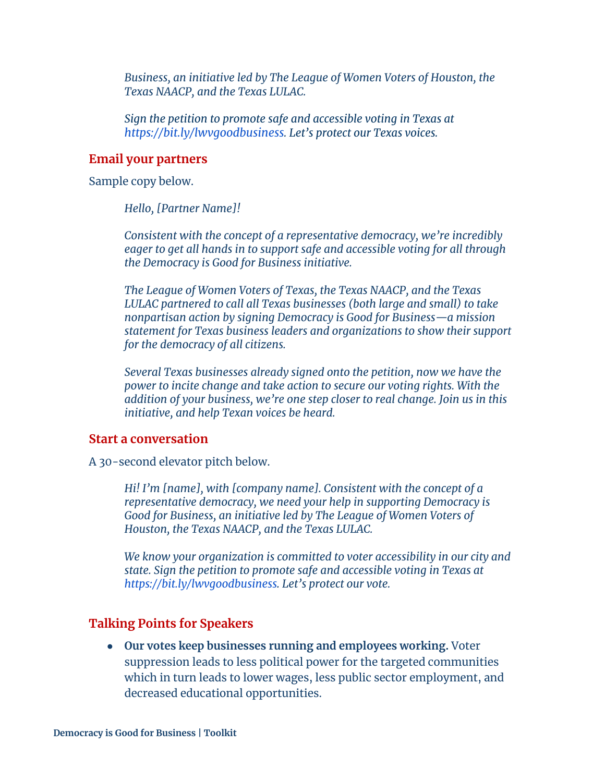*Business, an initiative led by The League of Women Voters of Houston, the Texas NAACP, and the Texas LULAC.*

*Sign the petition to promote safe and accessible voting in Texas at <https://bit.ly/lwvgoodbusiness>. Let's protect our Texas voices.*

#### **Email your partners**

Sample copy below.

*Hello, [Partner Name]!*

*Consistent with the concept of a representative democracy, we're incredibly eager to get all hands in to support safe and accessible voting for all through the Democracy is Good for Business initiative.*

*The League of Women Voters of Texas, the Texas NAACP, and the Texas LULAC partnered to call all Texas businesses (both large and small) to take nonpartisan action by signing Democracy is Good for Business—a mission statement for Texas business leaders and organizations to show their support for the democracy of all citizens.*

*Several Texas businesses already signed onto the [petition,](https://docs.google.com/forms/d/e/1FAIpQLSf17jp4dP6UFFJ_F46S0rSrpnFyuJgINphmKwGlw6_IcGIg3A/viewform) now we have the power to incite change and take action to secure our voting rights. With the addition of your business, we're one step closer to real change. Join us in this initiative, and help Texan voices be heard.*

#### **Start a conversation**

A 30-second elevator pitch below.

*Hi! I'm [name], with [company name]. Consistent with the concept of a representative democracy, we need your help in supporting Democracy is Good for Business, an initiative led by The League of Women Voters of Houston, the Texas NAACP, and the Texas LULAC.*

*We know your organization is committed to voter accessibility in our city and state. Sign the petition to promote safe and accessible voting in Texas at <https://bit.ly/lwvgoodbusiness>. Let's protect our vote.*

#### **Talking Points for Speakers**

*●* **Our votes keep businesses running and employees working.** Voter suppression leads to less political power for the targeted communities which in turn leads to lower wages, less public sector employment, and decreased educational opportunities.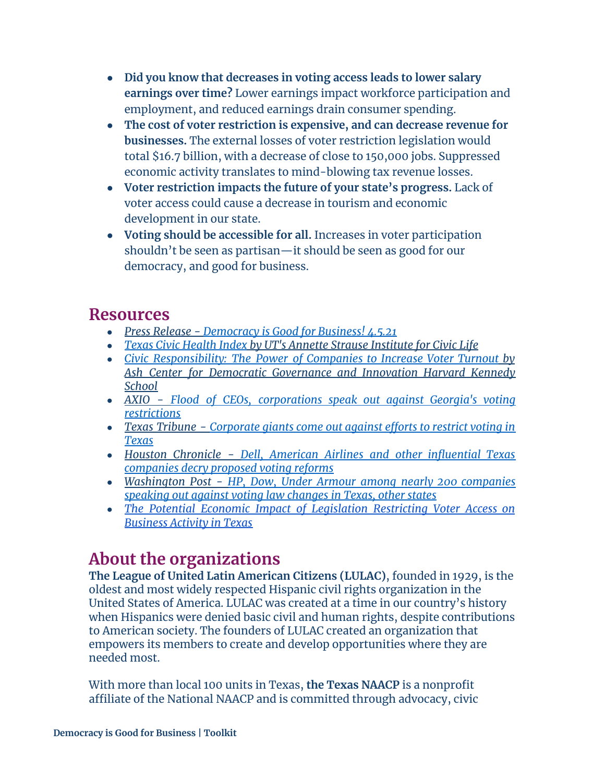- **Did you know that decreases in voting access leads to lower salary earnings over time?** Lower earnings impact workforce participation and employment, and reduced earnings drain consumer spending.
- **The cost of voter restriction is expensive, and can decrease revenue for businesses.** The external losses of voter restriction legislation would total \$16.7 billion, with a decrease of close to 150,000 jobs. Suppressed economic activity translates to mind-blowing tax revenue losses.
- **● Voter restriction impacts the future of your state's progress.** Lack of voter access could cause a decrease in tourism and economic development in our state.
- **● Voting should be accessible for all.** Increases in voter participation shouldn't be seen as partisan—it should be seen as good for our democracy, and good for business.

### **Resources**

- *Press Release - [Democracy](https://drive.google.com/file/d/1LRFHeJ0zT8k6Ppz2MhESif_0LI4Bgzo-/view?usp=sharing) is Good for Business! 4.5.21*
- *Texas Civic [Health](https://moody.utexas.edu/centers/strauss/texas-civic-health-index) Index by UT's Annette Strause Institute for Civic Life*
- *Civic [Responsibility:](https://ash.harvard.edu/files/ash/files/harvard-casestudy-report-digital_copy.pdf) The Power of Companies to Increase Voter Turnout by Ash Center for Democratic Governance and Innovation Harvard Kennedy School*
- *AXIO - Flood of CEOs, [corporations](https://www.axios.com/georgia-voting-restrictions-microsoft-corporations-57f321c3-f449-41c0-858e-02006d017768.html) speak out against Georgia's voting [restrictions](https://www.axios.com/georgia-voting-restrictions-microsoft-corporations-57f321c3-f449-41c0-858e-02006d017768.html)*
- *Texas Tribune - [Corporate](https://www.texastribune.org/2021/04/01/american-airlines-dell-voting-texas/) giants come out against efforts to restrict voting in [Texas](https://www.texastribune.org/2021/04/01/american-airlines-dell-voting-texas/)*
- *Houston Chronicle - Dell, American Airlines and other [influential](https://www.houstonchronicle.com/business/article/Texas-companies-speak-out-against-lawmakers-16072056.php) Texas [companies](https://www.houstonchronicle.com/business/article/Texas-companies-speak-out-against-lawmakers-16072056.php) decry proposed voting reforms*
- *Washington Post - HP, Dow, Under Armour among nearly 200 [companies](https://www.washingtonpost.com/business/2021/04/02/companies-against-state-voter-restrictions/?utm_campaign=wp_main&utm_medium=social&utm_source=facebook&fbclid=IwAR0uaLw-IkSWCeVPQNh30JwpJMwbgiGY3R4P2jcnM2tFVy4mEa7K8KbbadU) [speaking](https://www.washingtonpost.com/business/2021/04/02/companies-against-state-voter-restrictions/?utm_campaign=wp_main&utm_medium=social&utm_source=facebook&fbclid=IwAR0uaLw-IkSWCeVPQNh30JwpJMwbgiGY3R4P2jcnM2tFVy4mEa7K8KbbadU) out against voting law changes in Texas, other states*
- *● The Potential Economic Impact of [Legislation](https://www.perrymangroup.com/media/uploads/brief/perryman-the-potential-economic-impact-of-legislation-restricting-voter-access-on-business-activity-in-texas-full-04-09-21.pdf) Restricting Voter Access on [Business](https://www.perrymangroup.com/media/uploads/brief/perryman-the-potential-economic-impact-of-legislation-restricting-voter-access-on-business-activity-in-texas-full-04-09-21.pdf) Activity in Texas*

# **About the organizations**

**The League of United Latin American Citizens (LULAC)**, founded in 1929, is the oldest and most widely respected Hispanic civil rights organization in the United States of America. LULAC was created at a time in our country's history when Hispanics were denied basic civil and human rights, despite contributions to American society. The founders of LULAC created an organization that empowers its members to create and develop opportunities where they are needed most.

With more than local 100 units in Texas, **the Texas NAACP** is a nonprofit affiliate of the National NAACP and is committed through advocacy, civic